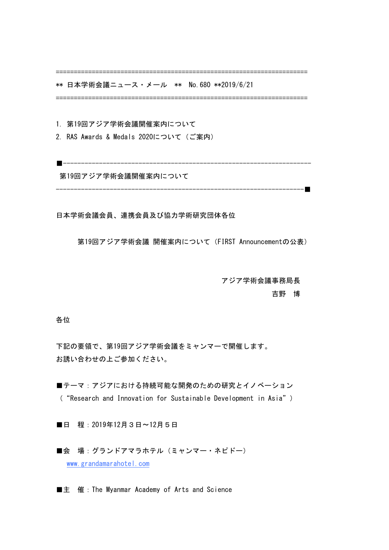======================================================================

\*\* 日本学術会議ニュース・メール \*\* No.680 \*\*2019/6/21

======================================================================

1. 第19回アジア学術会議開催案内について

2. RAS Awards & Medals 2020について (ご案内)

第19回アジア学術会議開催案内について

---------------------------------------------------------------------■

■---------------------------------------------------------------------

日本学術会議会員、連携会員及び協力学術研究団体各位

第19回アジア学術会議 開催案内について (FIRST Announcementの公表)

 アジア学術会議事務局長

 吉野 博

各位

下記の要領で、第19回アジア学術会議をミャンマーで開催します。 お誘い合わせの上ご参加ください。

■テーマ:アジアにおける持続可能な開発のための研究とイノベーション ( "Research and Innovation for Sustainable Development in Asia")

■日 程: 2019年12月3日〜12月5日

■会 場:グランドアマラホテル (ミャンマー・ネピドー) www.grandamarahotel.com

■主 催:The Myanmar Academy of Arts and Science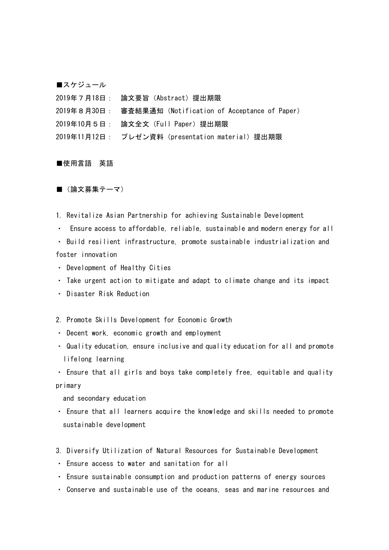■スケジュール

2019年7月18日: 論文要旨(Abstract)提出期限 2019年8月30日: 審査結果通知 (Notification of Acceptance of Paper) 2019年10月5日: 論文全文(Full Paper)提出期限 2019年11月12日 : プレゼン資料 (presentation material) 提出期限

## ■使用言語 英語

■ (論文募集テーマ)

1. Revitalize Asian Partnership for achieving Sustainable Development

• Ensure access to affordable, reliable, sustainable and modern energy for all

• Build resilient infrastructure, promote sustainable industrialization and foster innovation

- Development of Healthy Cities
- Take urgent action to mitigate and adapt to climate change and its impact
- ・ Disaster Risk Reduction
- 2. Promote Skills Development for Economic Growth
- Decent work, economic growth and employment
- Quality education, ensure inclusive and quality education for all and promote lifelong learning

• Ensure that all girls and boys take completely free, equitable and quality primary

and secondary education

- Ensure that all learners acquire the knowledge and skills needed to promote sustainable development
- 3. Diversify Utilization of Natural Resources for Sustainable Development
- ・ Ensure access to water and sanitation for all
- Ensure sustainable consumption and production patterns of energy sources
- Conserve and sustainable use of the oceans, seas and marine resources and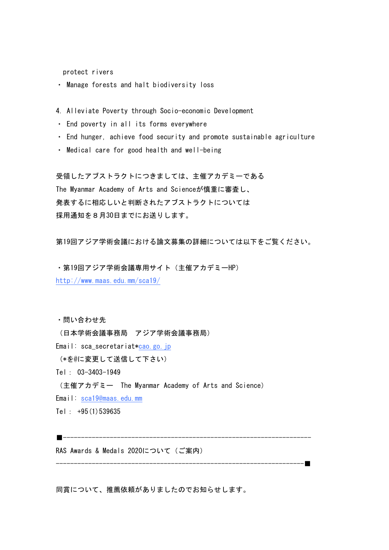protect rivers

- ・ Manage forests and halt biodiversity loss
- 4. Alleviate Poverty through Socio-economic Development
- ・ End poverty in all its forms everywhere
- End hunger, achieve food security and promote sustainable agriculture
- Medical care for good health and well-being

受領したアブストラクトにつきましては、主催アカデミーである The Myanmar Academy of Arts and Scienceが慎重に審査し、 発表するに相応しいと判断されたアブストラクトについては 採用通知を8月30日までにお送りします。

第19回アジア学術会議における論文募集の詳細については以下をご覧ください。

・第19回アジア学術会議専用サイト(主催アカデミーHP) http://www.maas.edu.mm/sca19/

・問い合わせ先

(日本学術会議事務局 アジア学術会議事務局)

Email: sca\_secretariat\*cao.go.jp

(\*を@に変更して送信して下さい)

■---------------------------------------------------------------------

Tel: 03-3403-1949

(主催アカデミー The Myanmar Academy of Arts and Science)

Email: sca19@maas.edu.mm

Tel: +95(1)539635

RAS Awards & Medals 2020について (ご案内)

同賞について、推薦依頼がありましたのでお知らせします。

---------------------------------------------------------------------■